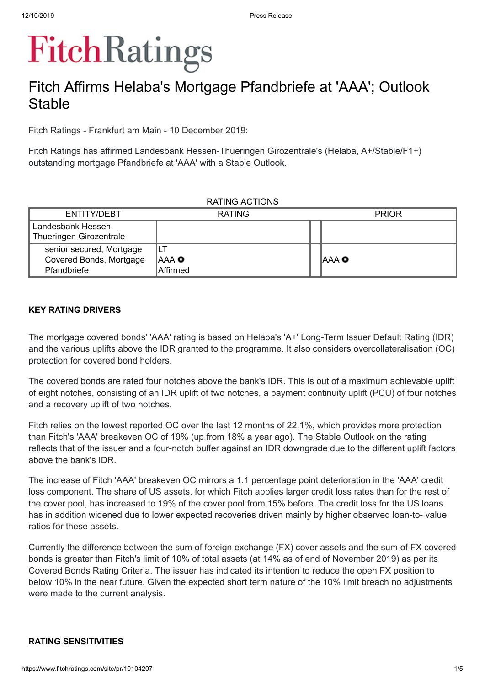# **FitchRatings**

## Fitch Affirms Helaba's Mortgage Pfandbriefe at 'AAA'; Outlook **Stable**

Fitch Ratings - Frankfurt am Main - 10 December 2019:

Fitch Ratings has affirmed Landesbank Hessen-Thueringen Girozentrale's (Helaba, A+/Stable/F1+) outstanding mortgage Pfandbriefe at 'AAA' with a Stable Outlook.

#### RATING ACTIONS

| ENTITY/DEBT                    | <b>RATING</b> | <b>PRIOR</b> |
|--------------------------------|---------------|--------------|
| Landesbank Hessen-             |               |              |
| <b>Thueringen Girozentrale</b> |               |              |
| senior secured, Mortgage       | IL I          |              |
| Covered Bonds, Mortgage        | <b>AAA</b> O  | IAAA O       |
| Pfandbriefe                    | Affirmed      |              |

#### **KEY RATING DRIVERS**

The mortgage covered bonds' 'AAA' rating is based on Helaba's 'A+' Long-Term Issuer Default Rating (IDR) and the various uplifts above the IDR granted to the programme. It also considers overcollateralisation (OC) protection for covered bond holders.

The covered bonds are rated four notches above the bank's IDR. This is out of a maximum achievable uplift of eight notches, consisting of an IDR uplift of two notches, a payment continuity uplift (PCU) of four notches and a recovery uplift of two notches.

Fitch relies on the lowest reported OC over the last 12 months of 22.1%, which provides more protection than Fitch's 'AAA' breakeven OC of 19% (up from 18% a year ago). The Stable Outlook on the rating reflects that of the issuer and a four-notch buffer against an IDR downgrade due to the different uplift factors above the bank's IDR.

The increase of Fitch 'AAA' breakeven OC mirrors a 1.1 percentage point deterioration in the 'AAA' credit loss component. The share of US assets, for which Fitch applies larger credit loss rates than for the rest of the cover pool, has increased to 19% of the cover pool from 15% before. The credit loss for the US loans has in addition widened due to lower expected recoveries driven mainly by higher observed loan-to- value ratios for these assets.

Currently the difference between the sum of foreign exchange (FX) cover assets and the sum of FX covered bonds is greater than Fitch's limit of 10% of total assets (at 14% as of end of November 2019) as per its Covered Bonds Rating Criteria. The issuer has indicated its intention to reduce the open FX position to below 10% in the near future. Given the expected short term nature of the 10% limit breach no adjustments were made to the current analysis.

#### **RATING SENSITIVITIES**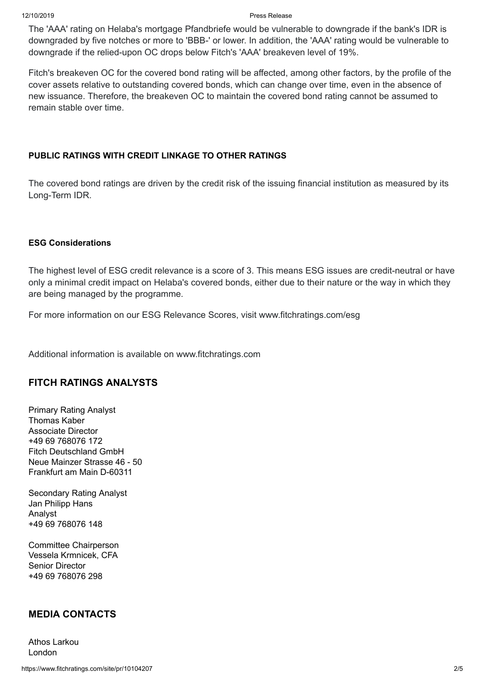#### 12/10/2019 Press Release

The 'AAA' rating on Helaba's mortgage Pfandbriefe would be vulnerable to downgrade if the bank's IDR is downgraded by five notches or more to 'BBB-' or lower. In addition, the 'AAA' rating would be vulnerable to downgrade if the relied-upon OC drops below Fitch's 'AAA' breakeven level of 19%.

Fitch's breakeven OC for the covered bond rating will be affected, among other factors, by the profile of the cover assets relative to outstanding covered bonds, which can change over time, even in the absence of new issuance. Therefore, the breakeven OC to maintain the covered bond rating cannot be assumed to remain stable over time.

#### **PUBLIC RATINGS WITH CREDIT LINKAGE TO OTHER RATINGS**

The covered bond ratings are driven by the credit risk of the issuing financial institution as measured by its Long-Term IDR.

#### **ESG Considerations**

The highest level of ESG credit relevance is a score of 3. This means ESG issues are credit-neutral or have only a minimal credit impact on Helaba's covered bonds, either due to their nature or the way in which they are being managed by the programme.

For more information on our ESG Relevance Scores, visit [www.fitchratings.com/esg](https://www.fitchratings.com/esg)

Additional information is available on www.fitchratings.com

### **FITCH RATINGS ANALYSTS**

Primary Rating Analyst Thomas Kaber Associate Director +49 69 768076 172 Fitch Deutschland GmbH Neue Mainzer Strasse 46 - 50 Frankfurt am Main D-60311

Secondary Rating Analyst Jan Philipp Hans Analyst +49 69 768076 148

Committee Chairperson Vessela Krmnicek, CFA Senior Director +49 69 768076 298

#### **MEDIA CONTACTS**

Athos Larkou London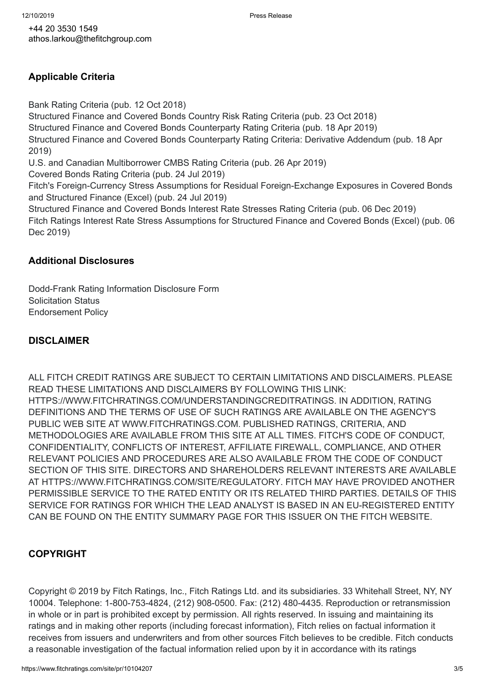+44 20 3530 1549 athos.larkou@thefitchgroup.com

#### **Applicable Criteria**

Bank Rating [Criteria](https://www.fitchratings.com/site/re/10044408) (pub. 12 Oct 2018) [Structured](https://www.fitchratings.com/site/re/10047041) Finance and Covered Bonds Country Risk Rating Criteria (pub. 23 Oct 2018) Structured Finance and Covered Bonds [Counterparty](https://www.fitchratings.com/site/re/10068780) Rating Criteria (pub. 18 Apr 2019) Structured Finance and Covered Bonds [Counterparty](https://www.fitchratings.com/site/re/10069072) Rating Criteria: Derivative Addendum (pub. 18 Apr 2019) U.S. and Canadian [Multiborrower](https://www.fitchratings.com/site/re/10069801) CMBS Rating Criteria (pub. 26 Apr 2019) [Covered](https://www.fitchratings.com/site/re/10081331) Bonds Rating Criteria (pub. 24 Jul 2019) Fitch's Foreign-Currency Stress Assumptions for Residual [Foreign-Exchange](https://www.fitchratings.com/site/re/10081774) Exposures in Covered Bonds and Structured Finance (Excel) (pub. 24 Jul 2019) [Structured](https://www.fitchratings.com/site/re/10103887) Finance and Covered Bonds Interest Rate Stresses Rating Criteria (pub. 06 Dec 2019) Fitch Ratings Interest Rate Stress [Assumptions](https://www.fitchratings.com/site/re/10104368) for Structured Finance and Covered Bonds (Excel) (pub. 06 Dec 2019)

#### **Additional Disclosures**

[Dodd-Frank](https://www.fitchratings.com/site/dodd-frank-disclosure/10104207) Rating Information Disclosure Form Solicitation Status [Endorsement](https://www.fitchratings.com/site/regulatory) Policy

#### **DISCLAIMER**

ALL FITCH CREDIT RATINGS ARE SUBJECT TO CERTAIN LIMITATIONS AND DISCLAIMERS. PLEASE READ THESE LIMITATIONS AND DISCLAIMERS BY FOLLOWING THIS LINK: [HTTPS://WWW.FITCHRATINGS.COM/UNDERSTANDINGCREDITRATINGS](https://www.fitchratings.com/UNDERSTANDINGCREDITRATINGS). IN ADDITION, RATING DEFINITIONS AND THE TERMS OF USE OF SUCH RATINGS ARE AVAILABLE ON THE AGENCY'S PUBLIC WEB SITE AT [WWW.FITCHRATINGS.COM](https://www.fitchratings.com/site/home). PUBLISHED RATINGS, CRITERIA, AND METHODOLOGIES ARE AVAILABLE FROM THIS SITE AT ALL TIMES. FITCH'S CODE OF CONDUCT, CONFIDENTIALITY, CONFLICTS OF INTEREST, AFFILIATE FIREWALL, COMPLIANCE, AND OTHER RELEVANT POLICIES AND PROCEDURES ARE ALSO AVAILABLE FROM THE CODE OF CONDUCT SECTION OF THIS SITE. DIRECTORS AND SHAREHOLDERS RELEVANT INTERESTS ARE AVAILABLE AT [HTTPS://WWW.FITCHRATINGS.COM/SITE/REGULATORY](https://www.fitchratings.com/site/regulatory). FITCH MAY HAVE PROVIDED ANOTHER PERMISSIBLE SERVICE TO THE RATED ENTITY OR ITS RELATED THIRD PARTIES. DETAILS OF THIS SERVICE FOR RATINGS FOR WHICH THE LEAD ANALYST IS BASED IN AN EU-REGISTERED ENTITY CAN BE FOUND ON THE ENTITY SUMMARY PAGE FOR THIS ISSUER ON THE FITCH WEBSITE.

#### **COPYRIGHT**

Copyright © 2019 by Fitch Ratings, Inc., Fitch Ratings Ltd. and its subsidiaries. 33 Whitehall Street, NY, NY 10004. Telephone: 1-800-753-4824, (212) 908-0500. Fax: (212) 480-4435. Reproduction or retransmission in whole or in part is prohibited except by permission. All rights reserved. In issuing and maintaining its ratings and in making other reports (including forecast information), Fitch relies on factual information it receives from issuers and underwriters and from other sources Fitch believes to be credible. Fitch conducts a reasonable investigation of the factual information relied upon by it in accordance with its ratings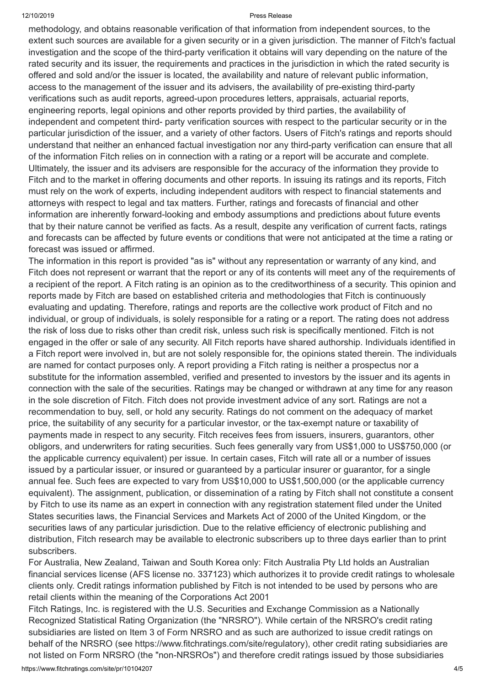#### 12/10/2019 Press Release

methodology, and obtains reasonable verification of that information from independent sources, to the extent such sources are available for a given security or in a given jurisdiction. The manner of Fitch's factual investigation and the scope of the third-party verification it obtains will vary depending on the nature of the rated security and its issuer, the requirements and practices in the jurisdiction in which the rated security is offered and sold and/or the issuer is located, the availability and nature of relevant public information, access to the management of the issuer and its advisers, the availability of pre-existing third-party verifications such as audit reports, agreed-upon procedures letters, appraisals, actuarial reports, engineering reports, legal opinions and other reports provided by third parties, the availability of independent and competent third- party verification sources with respect to the particular security or in the particular jurisdiction of the issuer, and a variety of other factors. Users of Fitch's ratings and reports should understand that neither an enhanced factual investigation nor any third-party verification can ensure that all of the information Fitch relies on in connection with a rating or a report will be accurate and complete. Ultimately, the issuer and its advisers are responsible for the accuracy of the information they provide to Fitch and to the market in offering documents and other reports. In issuing its ratings and its reports, Fitch must rely on the work of experts, including independent auditors with respect to financial statements and attorneys with respect to legal and tax matters. Further, ratings and forecasts of financial and other information are inherently forward-looking and embody assumptions and predictions about future events that by their nature cannot be verified as facts. As a result, despite any verification of current facts, ratings and forecasts can be affected by future events or conditions that were not anticipated at the time a rating or forecast was issued or affirmed.

The information in this report is provided "as is" without any representation or warranty of any kind, and Fitch does not represent or warrant that the report or any of its contents will meet any of the requirements of a recipient of the report. A Fitch rating is an opinion as to the creditworthiness of a security. This opinion and reports made by Fitch are based on established criteria and methodologies that Fitch is continuously evaluating and updating. Therefore, ratings and reports are the collective work product of Fitch and no individual, or group of individuals, is solely responsible for a rating or a report. The rating does not address the risk of loss due to risks other than credit risk, unless such risk is specifically mentioned. Fitch is not engaged in the offer or sale of any security. All Fitch reports have shared authorship. Individuals identified in a Fitch report were involved in, but are not solely responsible for, the opinions stated therein. The individuals are named for contact purposes only. A report providing a Fitch rating is neither a prospectus nor a substitute for the information assembled, verified and presented to investors by the issuer and its agents in connection with the sale of the securities. Ratings may be changed or withdrawn at any time for any reason in the sole discretion of Fitch. Fitch does not provide investment advice of any sort. Ratings are not a recommendation to buy, sell, or hold any security. Ratings do not comment on the adequacy of market price, the suitability of any security for a particular investor, or the tax-exempt nature or taxability of payments made in respect to any security. Fitch receives fees from issuers, insurers, guarantors, other obligors, and underwriters for rating securities. Such fees generally vary from US\$1,000 to US\$750,000 (or the applicable currency equivalent) per issue. In certain cases, Fitch will rate all or a number of issues issued by a particular issuer, or insured or guaranteed by a particular insurer or guarantor, for a single annual fee. Such fees are expected to vary from US\$10,000 to US\$1,500,000 (or the applicable currency equivalent). The assignment, publication, or dissemination of a rating by Fitch shall not constitute a consent by Fitch to use its name as an expert in connection with any registration statement filed under the United States securities laws, the Financial Services and Markets Act of 2000 of the United Kingdom, or the securities laws of any particular jurisdiction. Due to the relative efficiency of electronic publishing and distribution, Fitch research may be available to electronic subscribers up to three days earlier than to print subscribers.

For Australia, New Zealand, Taiwan and South Korea only: Fitch Australia Pty Ltd holds an Australian financial services license (AFS license no. 337123) which authorizes it to provide credit ratings to wholesale clients only. Credit ratings information published by Fitch is not intended to be used by persons who are retail clients within the meaning of the Corporations Act 2001

Fitch Ratings, Inc. is registered with the U.S. Securities and Exchange Commission as a Nationally Recognized Statistical Rating Organization (the "NRSRO"). While certain of the NRSRO's credit rating subsidiaries are listed on Item 3 of Form NRSRO and as such are authorized to issue credit ratings on behalf of the NRSRO (see <https://www.fitchratings.com/site/regulatory>), other credit rating subsidiaries are not listed on Form NRSRO (the "non-NRSROs") and therefore credit ratings issued by those subsidiaries